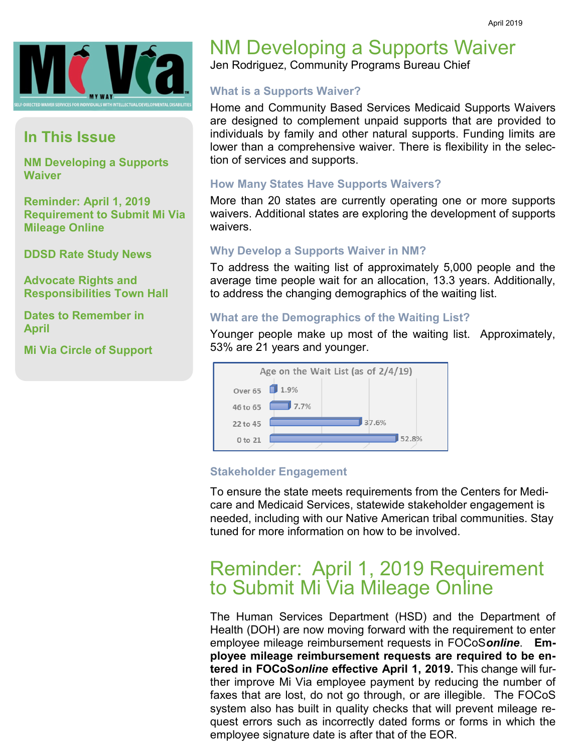

## **In This Issue**

**NM Developing a Supports Waiver**

**Reminder: April 1, 2019 Requirement to Submit Mi Via Mileage Online**

**DDSD Rate Study News**

**Advocate Rights and Responsibilities Town Hall**

**Dates to Remember in April**

**Mi Via Circle of Support**

# NM Developing a Supports Waiver

Jen Rodriguez, Community Programs Bureau Chief

#### **What is a Supports Waiver?**

Home and Community Based Services Medicaid Supports Waivers are designed to complement unpaid supports that are provided to individuals by family and other natural supports. Funding limits are lower than a comprehensive waiver. There is flexibility in the selection of services and supports.

#### **How Many States Have Supports Waivers?**

More than 20 states are currently operating one or more supports waivers. Additional states are exploring the development of supports waivers.

#### **Why Develop a Supports Waiver in NM?**

To address the waiting list of approximately 5,000 people and the average time people wait for an allocation, 13.3 years. Additionally, to address the changing demographics of the waiting list.

#### **What are the Demographics of the Waiting List?**

Younger people make up most of the waiting list. Approximately, 53% are 21 years and younger.



#### **Stakeholder Engagement**

To ensure the state meets requirements from the Centers for Medicare and Medicaid Services, statewide stakeholder engagement is needed, including with our Native American tribal communities. Stay tuned for more information on how to be involved.

## Reminder: April 1, 2019 Requirement to Submit Mi Via Mileage Online

The Human Services Department (HSD) and the Department of Health (DOH) are now moving forward with the requirement to enter employee mileage reimbursement requests in FOCoS*online*. **Employee mileage reimbursement requests are required to be entered in FOCoS***online* **effective April 1, 2019.** This change will further improve Mi Via employee payment by reducing the number of faxes that are lost, do not go through, or are illegible. The FOCoS system also has built in quality checks that will prevent mileage request errors such as incorrectly dated forms or forms in which the employee signature date is after that of the EOR.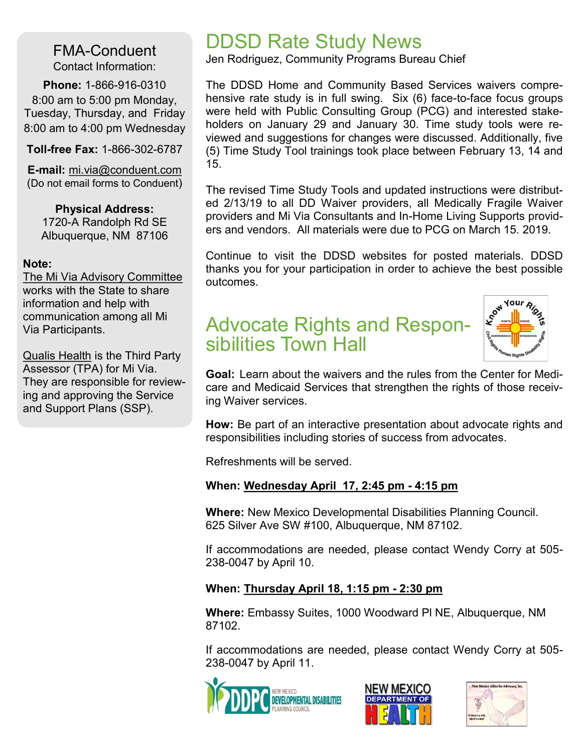FMA-Conduent Contact Information:

**Phone:** 1-866-916-0310 8:00 am to 5:00 pm Monday, Tuesday, Thursday, and Friday 8:00 am to 4:00 pm Wednesday

**Toll-free Fax:** 1-866-302-6787

**E-mail:** mi.via@conduent.com (Do not email forms to Conduent)

**Physical Address:** 1720-A Randolph Rd SE Albuquerque, NM 87106

#### **Note:**

The Mi Via Advisory Committee works with the State to share information and help with communication among all Mi Via Participants.

Qualis Health is the Third Party Assessor (TPA) for Mi Via. They are responsible for reviewing and approving the Service and Support Plans (SSP).

## DDSD Rate Study News

Jen Rodriguez, Community Programs Bureau Chief

The DDSD Home and Community Based Services waivers comprehensive rate study is in full swing. Six (6) face-to-face focus groups were held with Public Consulting Group (PCG) and interested stakeholders on January 29 and January 30. Time study tools were reviewed and suggestions for changes were discussed. Additionally, five (5) Time Study Tool trainings took place between February 13, 14 and 15.

The revised Time Study Tools and updated instructions were distributed 2/13/19 to all DD Waiver providers, all Medically Fragile Waiver providers and Mi Via Consultants and In-Home Living Supports providers and vendors. All materials were due to PCG on March 15. 2019.

Continue to visit the DDSD websites for posted materials. DDSD thanks you for your participation in order to achieve the best possible outcomes.

## Advocate Rights and Responsibilities Town Hall



**Goal:** Learn about the waivers and the rules from the Center for Medicare and Medicaid Services that strengthen the rights of those receiving Waiver services.

**How:** Be part of an interactive presentation about advocate rights and responsibilities including stories of success from advocates.

Refreshments will be served.

## **When: Wednesday April 17, 2:45 pm - 4:15 pm**

**Where:** New Mexico Developmental Disabilities Planning Council. 625 Silver Ave SW #100, Albuquerque, NM 87102.

If accommodations are needed, please contact Wendy Corry at 505- 238-0047 by April 10.

## **When: Thursday April 18, 1:15 pm - 2:30 pm**

**Where:** Embassy Suites, 1000 Woodward Pl NE, Albuquerque, NM 87102.

If accommodations are needed, please contact Wendy Corry at 505- 238-0047 by April 11.





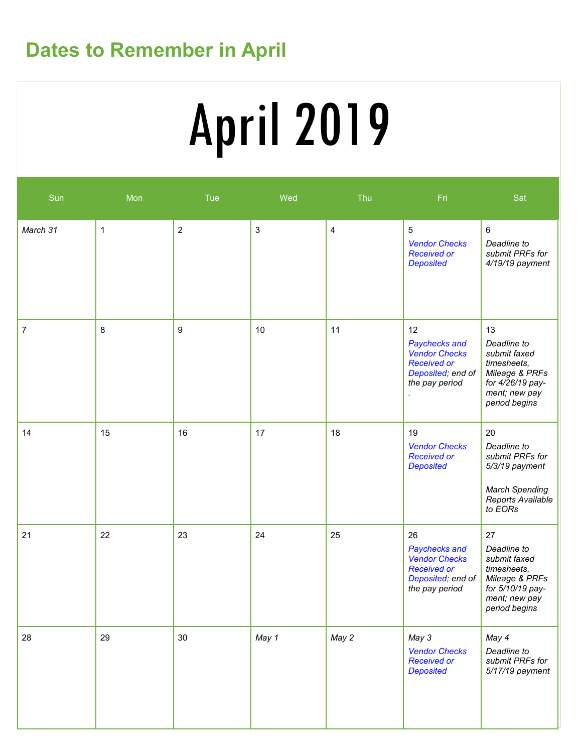## **Dates to Remember in April**

# April 2019

| Sun      | Mon         | Tue            | Wed   | Thu                     | Fri                                                                                                      | Sat                                                                                                                      |
|----------|-------------|----------------|-------|-------------------------|----------------------------------------------------------------------------------------------------------|--------------------------------------------------------------------------------------------------------------------------|
| March 31 | $\mathbf 1$ | $\overline{2}$ | 3     | $\overline{\mathbf{4}}$ | 5<br><b>Vendor Checks</b><br><b>Received or</b><br><b>Deposited</b>                                      | 6<br>Deadline to<br>submit PRFs for<br>4/19/19 payment                                                                   |
| 7        | 8           | 9              | 10    | 11                      | 12<br>Paychecks and<br><b>Vendor Checks</b><br><b>Received or</b><br>Deposited; end of<br>the pay period | 13<br>Deadline to<br>submit faxed<br>timesheets,<br>Mileage & PRFs<br>for 4/26/19 pay-<br>ment; new pay<br>period begins |
| 14       | 15          | 16             | 17    | 18                      | 19<br><b>Vendor Checks</b><br><b>Received or</b><br><b>Deposited</b>                                     | 20<br>Deadline to<br>submit PRFs for<br>5/3/19 payment<br><b>March Spending</b><br>Reports Available<br>to EORs          |
| 21       | 22          | 23             | 24    | 25                      | 26<br>Paychecks and<br><b>Vendor Checks</b><br><b>Received or</b><br>Deposited; end of<br>the pay period | 27<br>Deadline to<br>submit faxed<br>timesheets,<br>Mileage & PRFs<br>for 5/10/19 pay-<br>ment; new pay<br>period begins |
| 28       | 29          | 30             | May 1 | May 2                   | May 3<br><b>Vendor Checks</b><br><b>Received or</b><br><b>Deposited</b>                                  | May 4<br>Deadline to<br>submit PRFs for<br>5/17/19 payment                                                               |